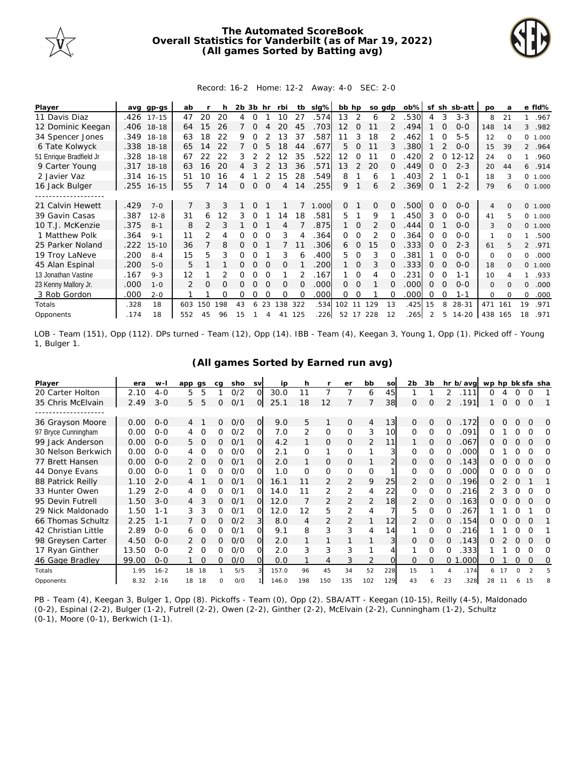

## **The Automated ScoreBook Overall Statistics for Vanderbilt (as of Mar 19, 2022) (All games Sorted by Batting avg)**



## Record: 16-2 Home: 12-2 Away: 4-0 SEC: 2-0

| Player                  | avq  | gp-gs      | ab            |               |     | 2b | 3b       | hr       | rbi      | tb       | slg%  | bb hp    |                |                | so adp        | $ob\%$ | sf       | sh       | sb-att    | po             | a        |                | e fld%  |
|-------------------------|------|------------|---------------|---------------|-----|----|----------|----------|----------|----------|-------|----------|----------------|----------------|---------------|--------|----------|----------|-----------|----------------|----------|----------------|---------|
| 11 Davis Diaz           |      | .426 17-15 | 47            | 20            | 20  | 4  | $\Omega$ |          | 10       | 27       | 574   | 13       | 2              | 6              |               | .530   | 4        | 3        | $3 - 3$   | 8              | 21       |                | .967    |
| 12 Dominic Keegan       |      | .406 18-18 | 64            | 15            | 26  |    | $\Omega$ |          |          | 45       | .703  | 12       | 0              |                |               | .494   |          | O        | $0 - 0$   | 148            | 14       | 3              | .982    |
| 34 Spencer Jones        | .349 | 18-18      | 63            | 18            | 22  | 9  |          |          | 13       | 37       | 587   | 11       | 3              | 18             | $\mathcal{P}$ | 462    |          |          | $5 - 5$   | 12             | $\Omega$ | $\Omega$       | 1.000   |
| 6 Tate Kolwyck          |      | .338 18-18 | 65            | 14            | 22  | 7  | $\Omega$ | 5        | 18       | 44       | .677  | 5.       | 0              | 11             | 3             | .380   |          | 2        | $0 - 0$   | 15             | 39       |                | 2 .964  |
| 51 Enrique Bradfield Jr |      | .328 18-18 | 67            | 22            | 22  | 3  |          |          | 12       | 35       | .522  | 12       | 0              | 11             | 0             | .420   | 2        | 0        | $12 - 12$ | 24             | $\Omega$ |                | .960    |
| 9 Carter Young          | .317 | $18-18$    | 63            | 16            | 20  | 4  |          |          | 13       | 36       | .571  | 13       | $\overline{2}$ | 20             | $\Omega$      | .449   | 0        |          | $2 - 3$   | 20             | 44       | 6              | .914    |
| 2 Javier Vaz            | .314 | $16 - 15$  | 51            | 10            | 16  |    |          |          | 15       | 28       | .549  | 8        |                | 6              |               | .403   | 2        |          | $0 - 1$   | 18             | 3        | $\circ$        | 1.000   |
| 16 Jack Bulger          |      | .255 16-15 | 55            |               | 14  | 0  | $\Omega$ | $\Omega$ | 4        | 14       | .255  | 9        |                | 6              | 2             | .369   | 0        |          | $2 - 2$   | 79             | 6        |                | 0 1.000 |
|                         |      |            |               |               |     |    |          |          |          |          |       |          |                |                |               |        |          |          |           |                |          |                |         |
| 21 Calvin Hewett        | .429 | $7 - 0$    |               | 3             | 3   |    | $\Omega$ |          |          |          | 1.000 | $\Omega$ |                | $\overline{O}$ | 0             | .500   | $\Omega$ | $\Omega$ | $O-O$     | $\overline{4}$ | $\Omega$ |                | 0 1.000 |
| 39 Gavin Casas          | .387 | $12 - 8$   | 31            | 6             | 12  | 3  | O        |          | 14       | 18       | .581  | 5.       |                | 9              |               | .450   | 3        | $\Omega$ | $O-O$     | 41             | 5        | $\Omega$       | 1.000   |
| 10 T.J. McKenzie        | .375 | $8 - 1$    | 8             | $\mathcal{P}$ | 3   |    | $\Omega$ |          | 4        |          | .875  |          | 0              | $\overline{2}$ |               | .444   | $\Omega$ |          | $0 - 0$   | 3              | $\Omega$ | $\circ$        | 1.000   |
| 1 Matthew Polk          | .364 | $9 - 1$    | 11            | 2             | 4   | 0  | O        |          | 3        | 4        | 364   | 0        | 0              | 2              |               | 364    | 0        | O        | $0 - 0$   | 1              | $\Omega$ | 1              | .500    |
| 25 Parker Noland        | .222 | $15 - 10$  | 36            |               | 8   | 0  | $\Omega$ |          |          |          | .306  | 6        | $\Omega$       | 15             | 0             | .333   | 0        | $\Omega$ | $2 - 3$   | 61             |          | $\overline{2}$ | .971    |
| 19 Troy LaNeve          | .200 | $8 - 4$    | 15            | 5             | 3   | 0  |          |          | 3        | 6        | .400  | 5.       | 0              | 3              |               | .381   |          |          | $0 - 0$   | 0              | $\Omega$ | 0              | .000    |
| 45 Alan Espinal         | .200 | $5 - 0$    | 5             |               |     | 0  | $\Omega$ | $\Omega$ | $\Omega$ |          | 200   |          | $\Omega$       | 3              | 0             | .333   | $\Omega$ | $\Omega$ | $O-O$     | 18             | $\Omega$ | $\Omega$       | 1.000   |
| 13 Jonathan Vastine     | .167 | $9 - 3$    | 12            |               |     | Ω  | O        |          |          |          | .167  |          | $\Omega$       | 4              |               | .231   | Ω        | 0        | 1-1       | 10             |          |                | .933    |
| 23 Kenny Mallory Jr.    | .000 | $1 - 0$    | $\mathcal{P}$ | $\Omega$      | O   | Ω  | O        | $\Omega$ | $\Omega$ | $\Omega$ | .000  | $\Omega$ | $\Omega$       |                | 0             | .000   | $\Omega$ | $\Omega$ | $0 - 0$   | $\mathbf{O}$   | $\Omega$ | $\Omega$       | .000    |
| 3 Rob Gordon            | .000 | $2 - 0$    |               |               | Ω   | Ω  | O        |          | O        |          | .000  | 0        | ∩              |                |               | .000   | Ω        | ∩        | $1 - 1$   | 0              | $\Omega$ | 0              | .000    |
| Totals                  | .328 | 18         | 603           | 150           | 198 | 43 | 6        | 23       | 138      | 322      | .534  | 102      | 11             | 129            | 13            | .425   | 15       | 8        | $28 - 31$ | 471            | 161      | 19             | .971    |
| Opponents               | .174 | 18         | 552           | 45            | 96  | 15 |          | Δ        | 41       | 125      | .226  | 52       | 17             | 228            | 12            | .265   |          | 5.       | $14 - 20$ | 438            | 165      | 18             | .971    |

LOB - Team (151), Opp (112). DPs turned - Team (12), Opp (14). IBB - Team (4), Keegan 3, Young 1, Opp (1). Picked off - Young 1, Bulger 1.

| Player              | era   | $W -$    | app qs |          | ca       | sho | <b>SV</b>      | ip    | h        |                | er       | bb             | so  | 2 <sub>b</sub> | 3b       |                | hr b/avg | wp hp bk sfa sha |   |   |               |          |
|---------------------|-------|----------|--------|----------|----------|-----|----------------|-------|----------|----------------|----------|----------------|-----|----------------|----------|----------------|----------|------------------|---|---|---------------|----------|
| 20 Carter Holton    | 2.10  | $4-0$    | 5      | 5        |          | O/2 | O              | 30.0  | 11       | 7              |          | 6              | 45  |                |          | 2              | .111     | Ω                |   |   | O             |          |
| 35 Chris McElvain   | 2.49  | $3 - 0$  | 5      | 5        | 0        | 0/1 | O              | 25.1  | 18       | 12             |          |                | 38  | $\Omega$       | O        | $\overline{2}$ | .191     |                  | 0 | 0 | $\Omega$      |          |
|                     |       |          |        |          |          |     |                |       |          |                |          |                |     |                |          |                |          |                  |   |   |               |          |
| 36 Grayson Moore    | 0.00  | $O-O$    | 4      |          | 0        | O/O | $\overline{O}$ | 9.0   | 5        | 1              | 0        | 4              | 13  | $\Omega$       | 0        | 0              | .172     | 0                | Ω | Ω | $\Omega$      | $\Omega$ |
| 97 Bryce Cunningham | 0.00  | $O-O$    |        | Ω        | Ω        | O/2 | Ω              | 7.0   | 2        | 0              | O        | 3              | 10  | O              | O        | ი              | .091     |                  |   |   |               |          |
| 99 Jack Anderson    | 0.00  | $O - O$  | 5      | $\Omega$ | 0        | 0/1 | $\Omega$       | 4.2   |          | 0              | 0        | $\overline{2}$ | 11  |                | 0        | O              | .067     | 0                | С | Ω |               |          |
| 30 Nelson Berkwich  | 0.00  | $O - O$  | 4      | $\Omega$ | 0        | 0/0 | Ω              | 2.1   | 0        | 1              | $\Omega$ |                |     | 0              | O        | 0              | .000     | 0                |   |   |               |          |
| 77 Brett Hansen     | 0.00  | $O - O$  | 2      | 0        | 0        | 0/1 | Ω              | 2.0   |          | 0              | 0        |                |     | 0              | 0        | 0              | .143     | O                | 0 | Ω | $\Omega$      |          |
| 44 Donye Evans      | 0.00  | $O - O$  |        | $\Omega$ | 0        | 0/0 | O              | 1.0   | $\Omega$ | 0              | 0        | $\Omega$       |     | Ω              | O        | Ω              | .000     | 0                |   |   |               |          |
| 88 Patrick Reilly   | 1.10  | $2 - 0$  | 4      |          | 0        | 0/1 | $\Omega$       | 16.1  | 11       | 2              | 2        | 9              | 25  | 2              | $\Omega$ | Ω              | 196      | 0                |   |   |               |          |
| 33 Hunter Owen      | 1.29  | $2 - 0$  | 4      | $\Omega$ | 0        | 0/1 | $\Omega$       | 14.0  | 11       | 2              | 2        | 4              | 22  | 0              | $\Omega$ | 0              | 216      | 2                | 3 | Ω |               |          |
| 95 Devin Futrell    | 1.50  | $3-0$    | 4      | 3        | 0        | 0/1 | Ω              | 12.0  |          | $\overline{2}$ | 2        | $\overline{2}$ | 18  | 2              | O        | Ω              | .163     | O                |   | Ω |               |          |
| 29 Nick Maldonado   | 1.50  | 1-1      | 3      | 3        | Ω        | O/1 | Ω              | 12.0  | 12       | 5              | 2        | 4              |     | 5              | $\Omega$ | Ω              | .267     |                  |   |   |               |          |
| 66 Thomas Schultz   | 2.25  | $1 - 1$  |        | $\Omega$ | 0        | O/2 | 3              | 8.0   | 4        | 2              | 2        |                | 12  | $\mathcal{P}$  | $\Omega$ | 0              | 154      | 0                |   | O |               |          |
| 42 Christian Little | 2.89  | $O - O$  | 6      | 0        | 0        | O/1 | Ω              | 9.1   | 8        | 3              | 3        | 4              | 14  |                | O        | Ω              | .216     |                  |   | Ω | $\Omega$      |          |
| 98 Greysen Carter   | 4.50  | $O - O$  |        | $\Omega$ | 0        | O/O | Ω              | 2.0   |          |                |          |                | 3   | O              | $\Omega$ | 0              | .143     |                  |   |   |               |          |
| 17 Ryan Ginther     | 13.50 | $O - O$  |        | $\Omega$ | 0        | O/O | $\Omega$       | 2.0   | 3        | 3              | 3        |                |     |                | O        | ი              | .333     |                  |   |   |               |          |
| 46 Gage Bradley     | 99.00 | $O - O$  |        | $\Omega$ | 0        | O/O | $\Omega$       | 0.0   |          | 4              | 3        | $\overline{2}$ | ∩   | O              | $\Omega$ | 0              | .000     | 0                |   | N | $\Omega$      | $\Omega$ |
| Totals              | 1.95  | $16 - 2$ | 18     | 18       |          | 5/5 |                | 157.0 | 96       | 45             | 34       | 52             | 228 | 15             |          | 4              | .174     | 6                |   | O | $\mathcal{P}$ |          |
| Opponents           | 8.32  | $2 - 16$ | 18     | 18       | $\Omega$ | O/O |                | 146.0 | 198      | 150            | 135      | 102            | 129 | 43             |          | 23             | .328     | 28               |   |   |               |          |

**(All games Sorted by Earned run avg)**

PB - Team (4), Keegan 3, Bulger 1, Opp (8). Pickoffs - Team (0), Opp (2). SBA/ATT - Keegan (10-15), Reilly (4-5), Maldonado (0-2), Espinal (2-2), Bulger (1-2), Futrell (2-2), Owen (2-2), Ginther (2-2), McElvain (2-2), Cunningham (1-2), Schultz (0-1), Moore (0-1), Berkwich (1-1).